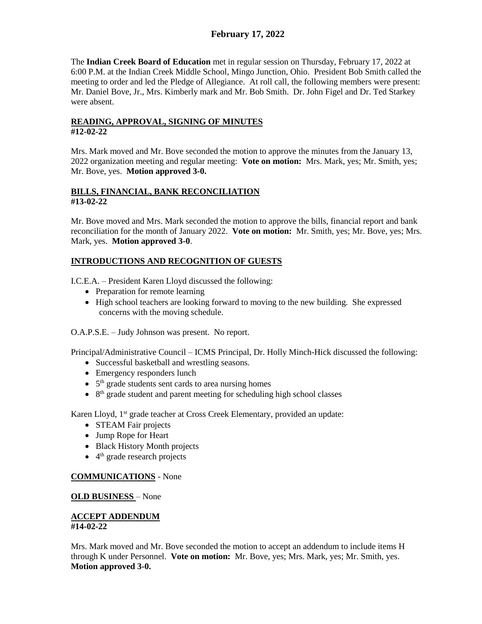# **February 17, 2022**

The **Indian Creek Board of Education** met in regular session on Thursday, February 17, 2022 at 6:00 P.M. at the Indian Creek Middle School, Mingo Junction, Ohio. President Bob Smith called the meeting to order and led the Pledge of Allegiance. At roll call, the following members were present: Mr. Daniel Bove, Jr., Mrs. Kimberly mark and Mr. Bob Smith. Dr. John Figel and Dr. Ted Starkey were absent.

## **READING, APPROVAL, SIGNING OF MINUTES #12-02-22**

Mrs. Mark moved and Mr. Bove seconded the motion to approve the minutes from the January 13, 2022 organization meeting and regular meeting: **Vote on motion:** Mrs. Mark, yes; Mr. Smith, yes; Mr. Bove, yes. **Motion approved 3-0.**

### **BILLS, FINANCIAL, BANK RECONCILIATION #13-02-22**

Mr. Bove moved and Mrs. Mark seconded the motion to approve the bills, financial report and bank reconciliation for the month of January 2022. **Vote on motion:** Mr. Smith, yes; Mr. Bove, yes; Mrs. Mark, yes. **Motion approved 3-0**.

## **INTRODUCTIONS AND RECOGNITION OF GUESTS**

I.C.E.A. – President Karen Lloyd discussed the following:

- Preparation for remote learning
- High school teachers are looking forward to moving to the new building. She expressed concerns with the moving schedule.

O.A.P.S.E. – Judy Johnson was present. No report.

Principal/Administrative Council – ICMS Principal, Dr. Holly Minch-Hick discussed the following:

- Successful basketball and wrestling seasons.
- Emergency responders lunch
- $\bullet$  5<sup>th</sup> grade students sent cards to area nursing homes
- 8<sup>th</sup> grade student and parent meeting for scheduling high school classes

Karen Lloyd, 1<sup>st</sup> grade teacher at Cross Creek Elementary, provided an update:

- STEAM Fair projects
- Jump Rope for Heart
- Black History Month projects
- 4<sup>th</sup> grade research projects

### **COMMUNICATIONS** - None

### **OLD BUSINESS** – None

#### **ACCEPT ADDENDUM #14-02-22**

Mrs. Mark moved and Mr. Bove seconded the motion to accept an addendum to include items H through K under Personnel. **Vote on motion:** Mr. Bove, yes; Mrs. Mark, yes; Mr. Smith, yes. **Motion approved 3-0.**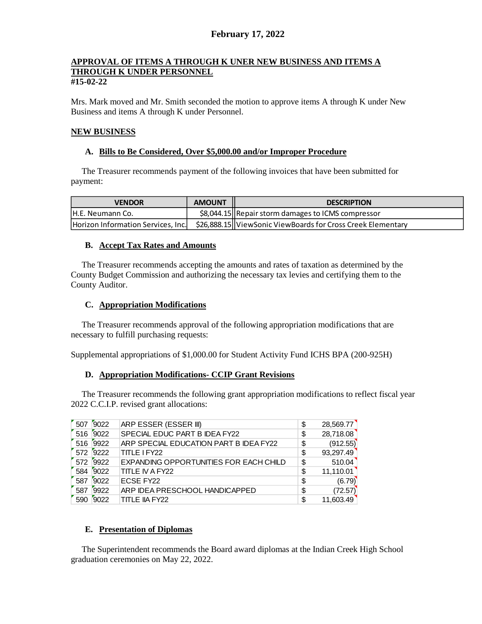# **February 17, 2022**

#### **APPROVAL OF ITEMS A THROUGH K UNER NEW BUSINESS AND ITEMS A THROUGH K UNDER PERSONNEL #15-02-22**

Mrs. Mark moved and Mr. Smith seconded the motion to approve items A through K under New Business and items A through K under Personnel.

## **NEW BUSINESS**

### **A. Bills to Be Considered, Over \$5,000.00 and/or Improper Procedure**

 The Treasurer recommends payment of the following invoices that have been submitted for payment:

| <b>VENDOR</b>                      | <b>AMOUNT</b> | <b>DESCRIPTION</b>                                          |
|------------------------------------|---------------|-------------------------------------------------------------|
| <b>IH.E. Neumann Co.</b>           |               | \$8,044.15   Repair storm damages to ICMS compressor        |
| Horizon Information Services, Inc. |               | \$26,888.15 ViewSonic ViewBoards for Cross Creek Elementary |

### **B. Accept Tax Rates and Amounts**

 The Treasurer recommends accepting the amounts and rates of taxation as determined by the County Budget Commission and authorizing the necessary tax levies and certifying them to the County Auditor.

### **C. Appropriation Modifications**

 The Treasurer recommends approval of the following appropriation modifications that are necessary to fulfill purchasing requests:

Supplemental appropriations of \$1,000.00 for Student Activity Fund ICHS BPA (200-925H)

### **D. Appropriation Modifications- CCIP Grant Revisions**

 The Treasurer recommends the following grant appropriation modifications to reflect fiscal year 2022 C.C.I.P. revised grant allocations:

| 507 | 9022 | ARP ESSER (ESSER III)                  | \$<br>28,569.77 |
|-----|------|----------------------------------------|-----------------|
| 516 | 9022 | SPECIAL EDUC PART B IDEA FY22          | \$<br>28,718.08 |
| 516 | 9922 | ARP SPECIAL EDUCATION PART B IDEA FY22 | \$<br>(912.55)  |
| 572 | 9222 | <b>TITLE I FY22</b>                    | \$<br>93,297.49 |
| 572 | 9922 | EXPANDING OPPORTUNITIES FOR EACH CHILD | \$<br>510.04    |
| 584 | 9022 | TITLE IV A FY22                        | \$<br>11,110.01 |
| 587 | 9022 | <b>ECSE FY22</b>                       | \$<br>(6.79)    |
| 587 | 9922 | ARP IDEA PRESCHOOL HANDICAPPED         | \$<br>(72.57)   |
| 590 | 9022 | TITLE IIA FY22                         | \$<br>11.603.49 |

### **E. Presentation of Diplomas**

 The Superintendent recommends the Board award diplomas at the Indian Creek High School graduation ceremonies on May 22, 2022.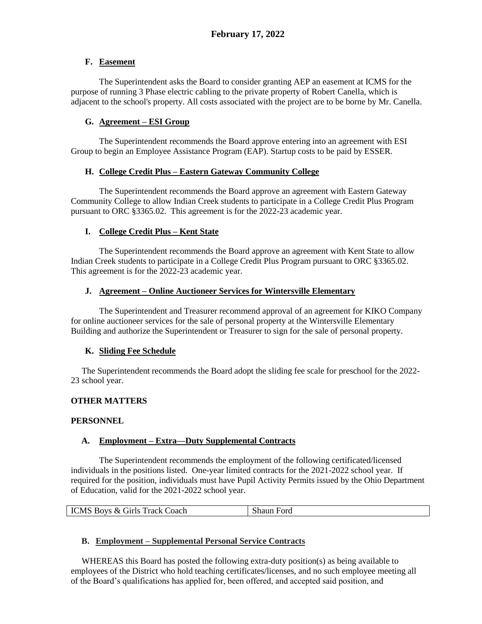## **F. Easement**

The Superintendent asks the Board to consider granting AEP an easement at ICMS for the purpose of running 3 Phase electric cabling to the private property of Robert Canella, which is adjacent to the school's property. All costs associated with the project are to be borne by Mr. Canella.

## **G. Agreement – ESI Group**

The Superintendent recommends the Board approve entering into an agreement with ESI Group to begin an Employee Assistance Program (EAP). Startup costs to be paid by ESSER.

## **H. College Credit Plus – Eastern Gateway Community College**

The Superintendent recommends the Board approve an agreement with Eastern Gateway Community College to allow Indian Creek students to participate in a College Credit Plus Program pursuant to ORC §3365.02. This agreement is for the 2022-23 academic year.

## **I. College Credit Plus – Kent State**

The Superintendent recommends the Board approve an agreement with Kent State to allow Indian Creek students to participate in a College Credit Plus Program pursuant to ORC §3365.02. This agreement is for the 2022-23 academic year.

## **J. Agreement – Online Auctioneer Services for Wintersville Elementary**

The Superintendent and Treasurer recommend approval of an agreement for KIKO Company for online auctioneer services for the sale of personal property at the Wintersville Elementary Building and authorize the Superintendent or Treasurer to sign for the sale of personal property.

# **K. Sliding Fee Schedule**

The Superintendent recommends the Board adopt the sliding fee scale for preschool for the 2022- 23 school year.

# **OTHER MATTERS**

## **PERSONNEL**

## **A. Employment – Extra—Duty Supplemental Contracts**

The Superintendent recommends the employment of the following certificated/licensed individuals in the positions listed. One-year limited contracts for the 2021-2022 school year. If required for the position, individuals must have Pupil Activity Permits issued by the Ohio Department of Education, valid for the 2021-2022 school year.

| ~·<br><b>ICMS</b> Boys & C<br>Track Q<br>Girls<br>Coach<br>Ford<br>shaun ' |  |
|----------------------------------------------------------------------------|--|
|----------------------------------------------------------------------------|--|

## **B. Employment – Supplemental Personal Service Contracts**

 WHEREAS this Board has posted the following extra-duty position(s) as being available to employees of the District who hold teaching certificates/licenses, and no such employee meeting all of the Board's qualifications has applied for, been offered, and accepted said position, and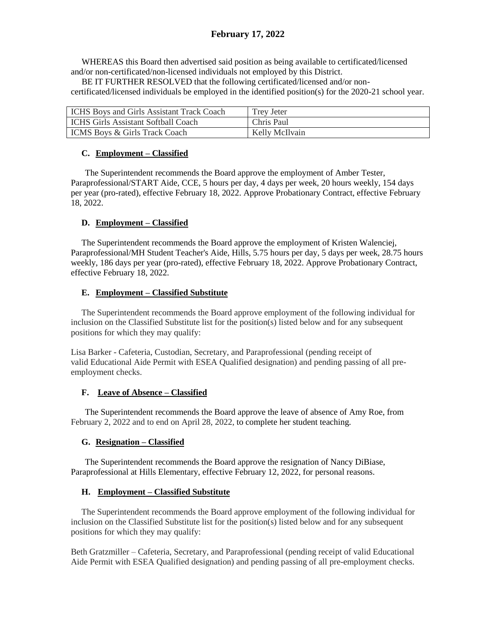WHEREAS this Board then advertised said position as being available to certificated/licensed and/or non-certificated/non-licensed individuals not employed by this District.

BE IT FURTHER RESOLVED that the following certificated/licensed and/or non-

certificated/licensed individuals be employed in the identified position(s) for the 2020-21 school year.

| <b>ICHS</b> Boys and Girls Assistant Track Coach | Trev Jeter     |
|--------------------------------------------------|----------------|
| ICHS Girls Assistant Softball Coach              | Chris Paul     |
| <b>ICMS</b> Boys & Girls Track Coach             | Kelly McIlvain |

## **C. Employment – Classified**

The Superintendent recommends the Board approve the employment of Amber Tester, Paraprofessional/START Aide, CCE, 5 hours per day, 4 days per week, 20 hours weekly, 154 days per year (pro-rated), effective February 18, 2022. Approve Probationary Contract, effective February 18, 2022.

## **D. Employment – Classified**

The Superintendent recommends the Board approve the employment of Kristen Walenciej, Paraprofessional/MH Student Teacher's Aide, Hills, 5.75 hours per day, 5 days per week, 28.75 hours weekly, 186 days per year (pro-rated), effective February 18, 2022. Approve Probationary Contract, effective February 18, 2022.

## **E. Employment – Classified Substitute**

The Superintendent recommends the Board approve employment of the following individual for inclusion on the Classified Substitute list for the position(s) listed below and for any subsequent positions for which they may qualify:

Lisa Barker - Cafeteria, Custodian, Secretary, and Paraprofessional (pending receipt of valid Educational Aide Permit with ESEA Qualified designation) and pending passing of all preemployment checks.

## **F. Leave of Absence – Classified**

The Superintendent recommends the Board approve the leave of absence of Amy Roe, from February 2, 2022 and to end on April 28, 2022, to complete her student teaching.

## **G. Resignation – Classified**

The Superintendent recommends the Board approve the resignation of Nancy DiBiase, Paraprofessional at Hills Elementary, effective February 12, 2022, for personal reasons.

## **H. Employment – Classified Substitute**

The Superintendent recommends the Board approve employment of the following individual for inclusion on the Classified Substitute list for the position(s) listed below and for any subsequent positions for which they may qualify:

Beth Gratzmiller – Cafeteria, Secretary, and Paraprofessional (pending receipt of valid Educational Aide Permit with ESEA Qualified designation) and pending passing of all pre-employment checks.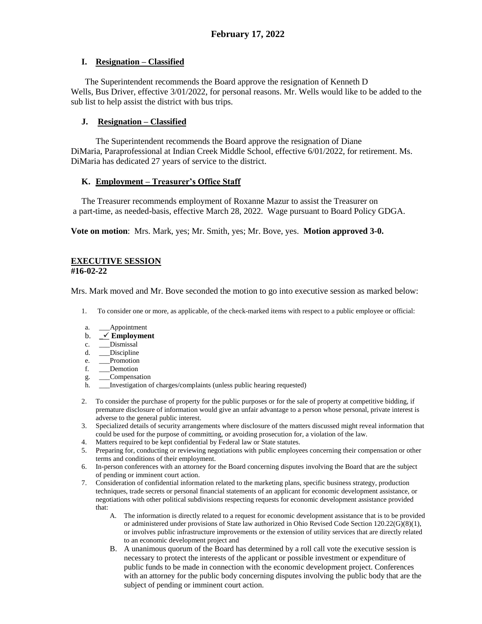## **I. Resignation – Classified**

The Superintendent recommends the Board approve the resignation of Kenneth D Wells, Bus Driver, effective 3/01/2022, for personal reasons. Mr. Wells would like to be added to the sub list to help assist the district with bus trips.

## **J. Resignation – Classified**

The Superintendent recommends the Board approve the resignation of Diane DiMaria, Paraprofessional at Indian Creek Middle School, effective 6/01/2022, for retirement. Ms. DiMaria has dedicated 27 years of service to the district.

### **K. Employment – Treasurer's Office Staff**

The Treasurer recommends employment of Roxanne Mazur to assist the Treasurer on a part-time, as needed-basis, effective March 28, 2022. Wage pursuant to Board Policy GDGA.

**Vote on motion**: Mrs. Mark, yes; Mr. Smith, yes; Mr. Bove, yes. **Motion approved 3-0.** 

#### **EXECUTIVE SESSION #16-02-22**

Mrs. Mark moved and Mr. Bove seconded the motion to go into executive session as marked below:

- 1. To consider one or more, as applicable, of the check-marked items with respect to a public employee or official:
- a. \_\_\_Appointment
- b.  $\angle$  **Employment**
- c. \_\_\_Dismissal
- d. \_\_\_Discipline
- e. Promotion
- f. \_\_\_Demotion
- g. \_\_\_Compensation
- h. \_\_\_Investigation of charges/complaints (unless public hearing requested)
- 2. To consider the purchase of property for the public purposes or for the sale of property at competitive bidding, if premature disclosure of information would give an unfair advantage to a person whose personal, private interest is adverse to the general public interest.
- 3. Specialized details of security arrangements where disclosure of the matters discussed might reveal information that could be used for the purpose of committing, or avoiding prosecution for, a violation of the law.
- 4. Matters required to be kept confidential by Federal law or State statutes.
- 5. Preparing for, conducting or reviewing negotiations with public employees concerning their compensation or other terms and conditions of their employment.
- 6. In-person conferences with an attorney for the Board concerning disputes involving the Board that are the subject of pending or imminent court action.
- 7. Consideration of confidential information related to the marketing plans, specific business strategy, production techniques, trade secrets or personal financial statements of an applicant for economic development assistance, or negotiations with other political subdivisions respecting requests for economic development assistance provided that:
	- A. The information is directly related to a request for economic development assistance that is to be provided or administered under provisions of State law authorized in Ohio Revised Code Section 120.22(G)(8)(1), or involves public infrastructure improvements or the extension of utility services that are directly related to an economic development project and
	- B. A unanimous quorum of the Board has determined by a roll call vote the executive session is necessary to protect the interests of the applicant or possible investment or expenditure of public funds to be made in connection with the economic development project. Conferences with an attorney for the public body concerning disputes involving the public body that are the subject of pending or imminent court action.